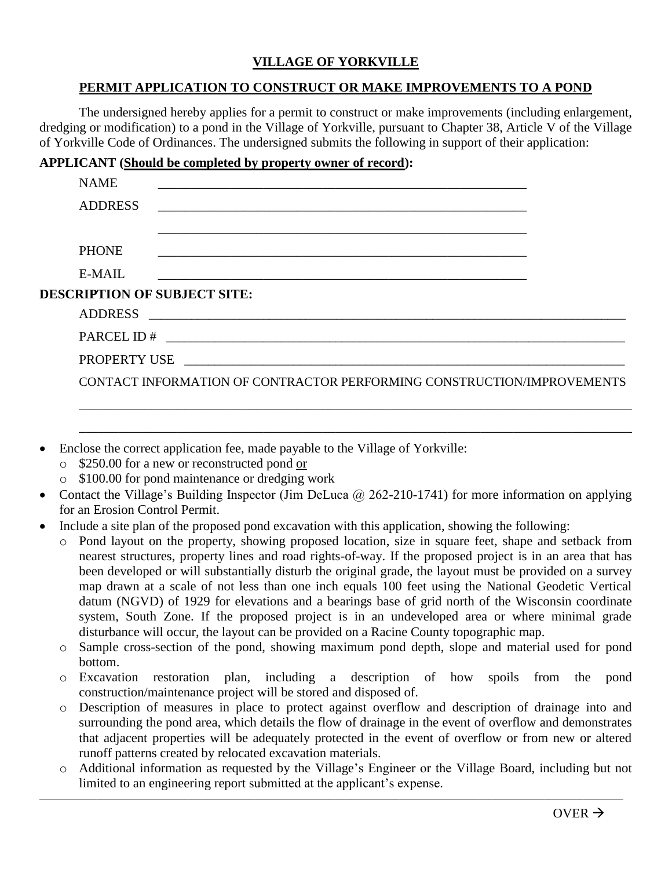## **VILLAGE OF YORKVILLE**

## **PERMIT APPLICATION TO CONSTRUCT OR MAKE IMPROVEMENTS TO A POND**

The undersigned hereby applies for a permit to construct or make improvements (including enlargement, dredging or modification) to a pond in the Village of Yorkville, pursuant to Chapter 38, Article V of the Village of Yorkville Code of Ordinances. The undersigned submits the following in support of their application:

## **APPLICANT (Should be completed by property owner of record):**

|                                     | <b>NAME</b>    |                                                                                                                      |  |  |  |
|-------------------------------------|----------------|----------------------------------------------------------------------------------------------------------------------|--|--|--|
|                                     | <b>ADDRESS</b> |                                                                                                                      |  |  |  |
|                                     |                |                                                                                                                      |  |  |  |
|                                     | <b>PHONE</b>   |                                                                                                                      |  |  |  |
|                                     | E-MAIL         |                                                                                                                      |  |  |  |
| <b>DESCRIPTION OF SUBJECT SITE:</b> |                |                                                                                                                      |  |  |  |
|                                     | <b>ADDRESS</b> | <u> 1980 - Jan James James James James James James James James James James James James James James James James J</u> |  |  |  |
|                                     |                |                                                                                                                      |  |  |  |
|                                     |                | PROPERTY USE PROPERTY USE                                                                                            |  |  |  |
|                                     |                | CONTACT INFORMATION OF CONTRACTOR PERFORMING CONSTRUCTION/IMPROVEMENTS                                               |  |  |  |
|                                     |                |                                                                                                                      |  |  |  |

- Enclose the correct application fee, made payable to the Village of Yorkville:
	- o \$250.00 for a new or reconstructed pond or
	- o \$100.00 for pond maintenance or dredging work
- Contact the Village's Building Inspector (Jim DeLuca @ 262-210-1741) for more information on applying for an Erosion Control Permit.

\_\_\_\_\_\_\_\_\_\_\_\_\_\_\_\_\_\_\_\_\_\_\_\_\_\_\_\_\_\_\_\_\_\_\_\_\_\_\_\_\_\_\_\_\_\_\_\_\_\_\_\_\_\_\_\_\_\_\_\_\_\_\_\_\_\_\_\_\_\_\_\_\_\_\_\_\_\_\_\_\_\_\_\_

- Include a site plan of the proposed pond excavation with this application, showing the following:
	- Pond layout on the property, showing proposed location, size in square feet, shape and setback from nearest structures, property lines and road rights-of-way. If the proposed project is in an area that has been developed or will substantially disturb the original grade, the layout must be provided on a survey map drawn at a scale of not less than one inch equals 100 feet using the National Geodetic Vertical datum (NGVD) of 1929 for elevations and a bearings base of grid north of the Wisconsin coordinate system, South Zone. If the proposed project is in an undeveloped area or where minimal grade disturbance will occur, the layout can be provided on a Racine County topographic map.
	- o Sample cross-section of the pond, showing maximum pond depth, slope and material used for pond bottom.
	- o Excavation restoration plan, including a description of how spoils from the pond construction/maintenance project will be stored and disposed of.
	- o Description of measures in place to protect against overflow and description of drainage into and surrounding the pond area, which details the flow of drainage in the event of overflow and demonstrates that adjacent properties will be adequately protected in the event of overflow or from new or altered runoff patterns created by relocated excavation materials.
	- o Additional information as requested by the Village's Engineer or the Village Board, including but not limited to an engineering report submitted at the applicant's expense.

\_\_\_\_\_\_\_\_\_\_\_\_\_\_\_\_\_\_\_\_\_\_\_\_\_\_\_\_\_\_\_\_\_\_\_\_\_\_\_\_\_\_\_\_\_\_\_\_\_\_\_\_\_\_\_\_\_\_\_\_\_\_\_\_\_\_\_\_\_\_\_\_\_\_\_\_\_\_\_\_\_\_\_\_\_\_\_\_\_\_\_\_\_\_\_\_\_\_\_\_\_\_\_\_\_\_\_\_\_\_\_\_\_\_\_\_\_\_\_\_\_\_\_\_\_\_\_\_\_\_\_\_\_